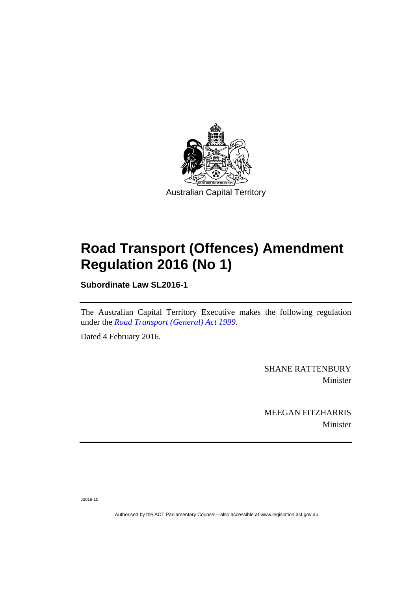

# **Road Transport (Offences) Amendment Regulation 2016 (No 1)**

**Subordinate Law SL2016-1** 

The Australian Capital Territory Executive makes the following regulation under the *[Road Transport \(General\) Act 1999](http://www.legislation.act.gov.au/a/1999-77)*.

Dated 4 February 2016.

SHANE RATTENBURY Minister

MEEGAN FITZHARRIS Minister

J2016-10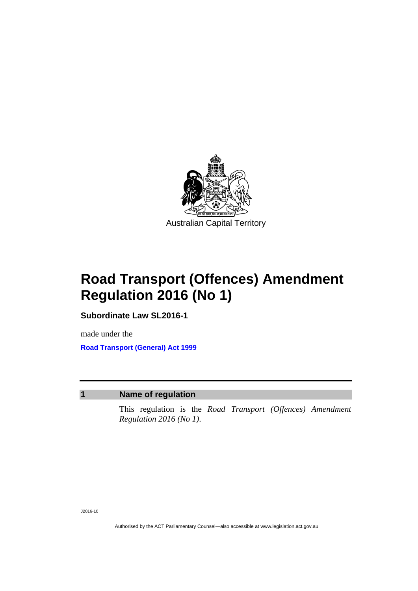

**Road Transport (Offences) Amendment Regulation 2016 (No 1)** 

**Subordinate Law SL2016-1** 

made under the **[Road Transport \(General\) Act 1999](http://www.legislation.act.gov.au/a/1999-77)**

## **1 Name of regulation**

This regulation is the *Road Transport (Offences) Amendment Regulation 2016 (No 1)*.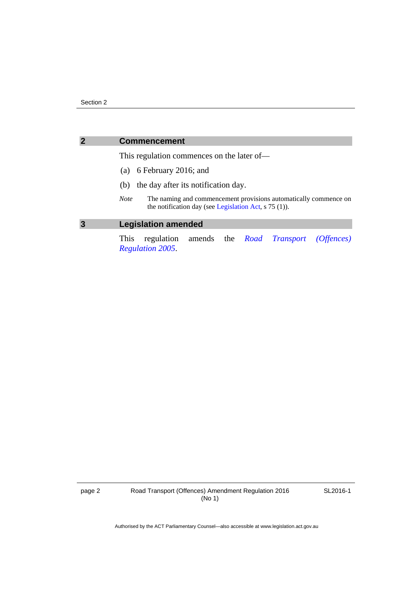### **2 Commencement**

This regulation commences on the later of—

- (a) 6 February 2016; and
- (b) the day after its notification day.
- *Note* The naming and commencement provisions automatically commence on the notification day (see [Legislation Act,](http://www.legislation.act.gov.au/a/2001-14) s 75 (1)).

## **3 Legislation amended**

This regulation amends the *[Road Transport \(Offences\)](http://www.legislation.act.gov.au/sl/2005-11)  [Regulation 2005](http://www.legislation.act.gov.au/sl/2005-11)*.

page 2 Road Transport (Offences) Amendment Regulation 2016 (No 1)

SL2016-1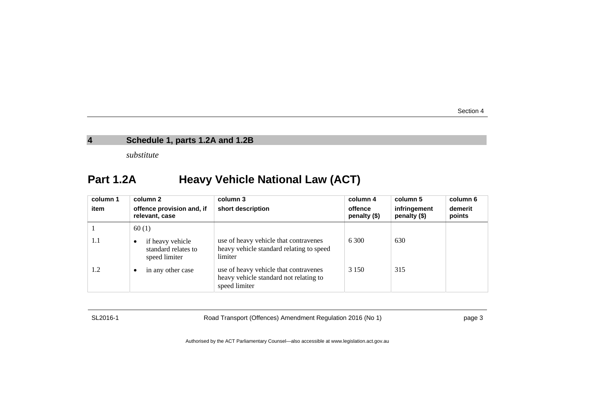## **4 Schedule 1, parts 1.2A and 1.2B**

*substitute* 

## **Part 1.2A Heavy Vehicle National Law (ACT)**

| column 1<br>item | column 2<br>offence provision and, if<br>relevant, case  | column 3<br>short description                                                                    | column 4<br>offence<br>$penalty$ (\$) | column 5<br>infringement<br>penalty (\$) | column 6<br>demerit<br>points |
|------------------|----------------------------------------------------------|--------------------------------------------------------------------------------------------------|---------------------------------------|------------------------------------------|-------------------------------|
|                  | 60(1)                                                    |                                                                                                  |                                       |                                          |                               |
| 1.1              | if heavy vehicle<br>standard relates to<br>speed limiter | use of heavy vehicle that contravenes<br>heavy vehicle standard relating to speed<br>limiter     | 6 300                                 | 630                                      |                               |
| 1.2              | in any other case                                        | use of heavy vehicle that contravenes<br>heavy vehicle standard not relating to<br>speed limiter | 3 1 5 0                               | 315                                      |                               |

SL2016-1 Road Transport (Offences) Amendment Regulation 2016 (No 1) page 3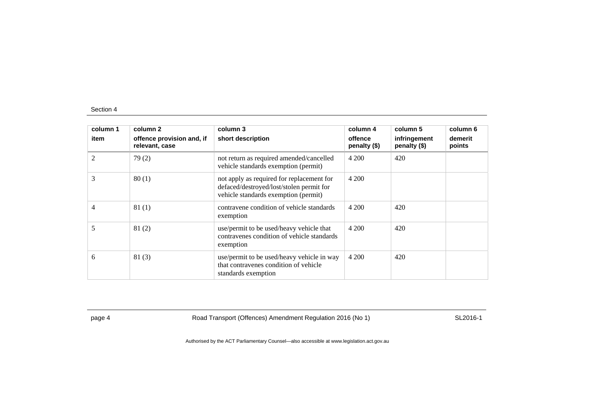| column 1<br>item | column 2<br>offence provision and, if<br>relevant, case | column 3<br>short description                                                                                                 | column 4<br>offence<br>penalty (\$) | column 5<br>infringement<br>penalty (\$) | column 6<br>demerit<br>points |
|------------------|---------------------------------------------------------|-------------------------------------------------------------------------------------------------------------------------------|-------------------------------------|------------------------------------------|-------------------------------|
| 2                | 79(2)                                                   | not return as required amended/cancelled<br>vehicle standards exemption (permit)                                              | 4 200                               | 420                                      |                               |
| 3                | 80(1)                                                   | not apply as required for replacement for<br>defaced/destroyed/lost/stolen permit for<br>vehicle standards exemption (permit) | 4 200                               |                                          |                               |
| 4                | 81(1)                                                   | contravene condition of vehicle standards<br>exemption                                                                        | 4 200                               | 420                                      |                               |
| 5                | 81(2)                                                   | use/permit to be used/heavy vehicle that<br>contravenes condition of vehicle standards<br>exemption                           | 4 200                               | 420                                      |                               |
| 6                | 81(3)                                                   | use/permit to be used/heavy vehicle in way<br>that contravenes condition of vehicle<br>standards exemption                    | 4 200                               | 420                                      |                               |

page 4 Road Transport (Offences) Amendment Regulation 2016 (No 1) SL2016-1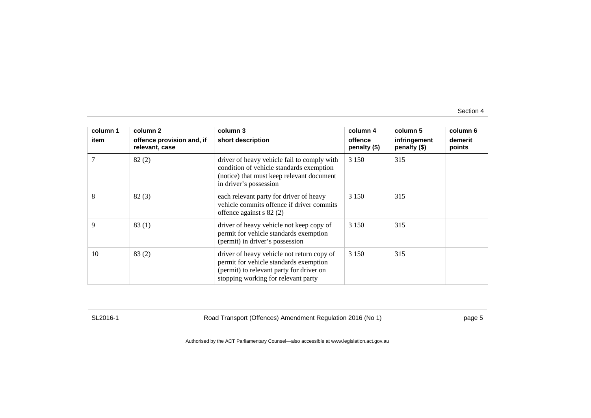| column 1 | column 2                                    | column 3                                                                                                                                                                | column 4                | column 5                     | column 6          |
|----------|---------------------------------------------|-------------------------------------------------------------------------------------------------------------------------------------------------------------------------|-------------------------|------------------------------|-------------------|
| item     | offence provision and, if<br>relevant, case | short description                                                                                                                                                       | offence<br>penalty (\$) | infringement<br>penalty (\$) | demerit<br>points |
| 7        | 82(2)                                       | driver of heavy vehicle fail to comply with<br>condition of vehicle standards exemption<br>(notice) that must keep relevant document<br>in driver's possession          | 3 1 5 0                 | 315                          |                   |
| 8        | 82(3)                                       | each relevant party for driver of heavy<br>vehicle commits offence if driver commits<br>offence against $s$ 82 (2)                                                      | 3 1 5 0                 | 315                          |                   |
| 9        | 83(1)                                       | driver of heavy vehicle not keep copy of<br>permit for vehicle standards exemption<br>(permit) in driver's possession                                                   | 3 1 5 0                 | 315                          |                   |
| 10       | 83(2)                                       | driver of heavy vehicle not return copy of<br>permit for vehicle standards exemption<br>(permit) to relevant party for driver on<br>stopping working for relevant party | 3 1 5 0                 | 315                          |                   |

SL2016-1 Road Transport (Offences) Amendment Regulation 2016 (No 1) page 5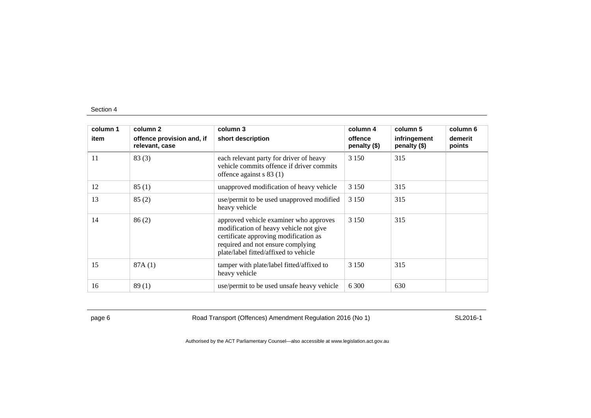| column 1 | column 2                                    | column 3                                                                                                                                                                                                | column 4                | column 5                     | column 6          |
|----------|---------------------------------------------|---------------------------------------------------------------------------------------------------------------------------------------------------------------------------------------------------------|-------------------------|------------------------------|-------------------|
| item     | offence provision and, if<br>relevant, case | short description                                                                                                                                                                                       | offence<br>penalty (\$) | infringement<br>penalty (\$) | demerit<br>points |
| 11       | 83(3)                                       | each relevant party for driver of heavy<br>vehicle commits offence if driver commits<br>offence against $s 83(1)$                                                                                       | 3 1 5 0                 | 315                          |                   |
| 12       | 85(1)                                       | unapproved modification of heavy vehicle                                                                                                                                                                | 3 1 5 0                 | 315                          |                   |
| 13       | 85(2)                                       | use/permit to be used unapproved modified<br>heavy vehicle                                                                                                                                              | 3 1 5 0                 | 315                          |                   |
| 14       | 86(2)                                       | approved vehicle examiner who approves<br>modification of heavy vehicle not give<br>certificate approving modification as<br>required and not ensure complying<br>plate/label fitted/affixed to vehicle | 3 1 5 0                 | 315                          |                   |
| 15       | 87A(1)                                      | tamper with plate/label fitted/affixed to<br>heavy vehicle                                                                                                                                              | 3 1 5 0                 | 315                          |                   |
| 16       | 89(1)                                       | use/permit to be used unsafe heavy vehicle                                                                                                                                                              | 6 300                   | 630                          |                   |

page 6 **Road Transport (Offences) Amendment Regulation 2016 (No 1)** SL2016-1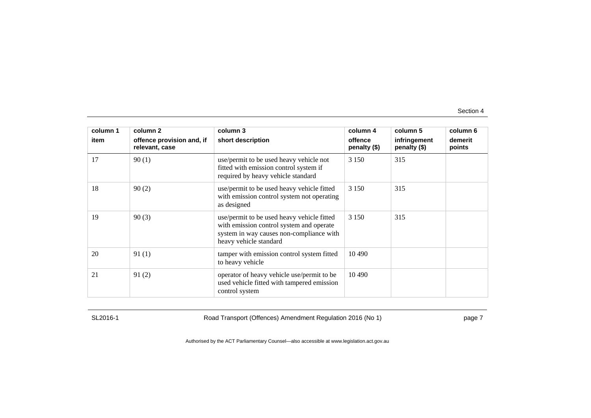| column 1 | column 2                                    | column 3                                                                                                                                                     | column 4                | column 5                     | column 6          |
|----------|---------------------------------------------|--------------------------------------------------------------------------------------------------------------------------------------------------------------|-------------------------|------------------------------|-------------------|
| item     | offence provision and, if<br>relevant, case | short description                                                                                                                                            | offence<br>penalty (\$) | infringement<br>penalty (\$) | demerit<br>points |
| 17       | 90(1)                                       | use/permit to be used heavy vehicle not<br>fitted with emission control system if<br>required by heavy vehicle standard                                      | 3 1 5 0                 | 315                          |                   |
| 18       | 90(2)                                       | use/permit to be used heavy vehicle fitted<br>with emission control system not operating<br>as designed                                                      | 3 1 5 0                 | 315                          |                   |
| 19       | 90(3)                                       | use/permit to be used heavy vehicle fitted<br>with emission control system and operate<br>system in way causes non-compliance with<br>heavy vehicle standard | 3 1 5 0                 | 315                          |                   |
| 20       | 91(1)                                       | tamper with emission control system fitted<br>to heavy vehicle                                                                                               | 10 490                  |                              |                   |
| 21       | 91(2)                                       | operator of heavy vehicle use/permit to be<br>used vehicle fitted with tampered emission<br>control system                                                   | 10 490                  |                              |                   |

SL2016-1 Road Transport (Offences) Amendment Regulation 2016 (No 1) page 7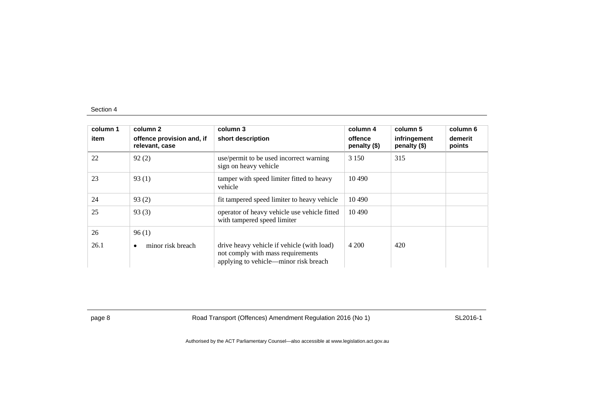| column 1<br>item | column 2<br>offence provision and, if<br>relevant, case | column 3<br>short description                                                                                            | column 4<br>offence<br>penalty (\$) | column 5<br>infringement<br>penalty (\$) | column 6<br>demerit<br>points |
|------------------|---------------------------------------------------------|--------------------------------------------------------------------------------------------------------------------------|-------------------------------------|------------------------------------------|-------------------------------|
| 22               | 92(2)                                                   | use/permit to be used incorrect warning<br>sign on heavy vehicle                                                         | 3 1 5 0                             | 315                                      |                               |
| 23               | 93(1)                                                   | tamper with speed limiter fitted to heavy<br>vehicle                                                                     | 10 4 90                             |                                          |                               |
| 24               | 93(2)                                                   | fit tampered speed limiter to heavy vehicle                                                                              | 10 4 90                             |                                          |                               |
| 25               | 93(3)                                                   | operator of heavy vehicle use vehicle fitted<br>with tampered speed limiter                                              | 10 490                              |                                          |                               |
| 26               | 96(1)                                                   |                                                                                                                          |                                     |                                          |                               |
| 26.1             | minor risk breach                                       | drive heavy vehicle if vehicle (with load)<br>not comply with mass requirements<br>applying to vehicle—minor risk breach | 4 200                               | 420                                      |                               |

page 8 Road Transport (Offences) Amendment Regulation 2016 (No 1) SL2016-1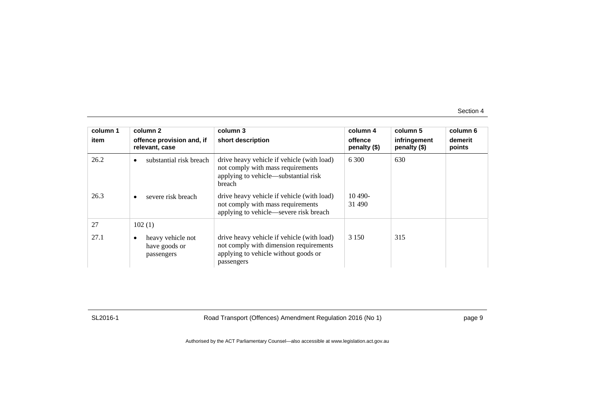| column 1 | column 2                                         | column 3                                                                                                                                   | column 4                  | column 5                     | column 6          |
|----------|--------------------------------------------------|--------------------------------------------------------------------------------------------------------------------------------------------|---------------------------|------------------------------|-------------------|
| item     | offence provision and, if<br>relevant, case      | short description                                                                                                                          | offence<br>penalty $(\$)$ | infringement<br>penalty (\$) | demerit<br>points |
| 26.2     | substantial risk breach<br>$\bullet$             | drive heavy vehicle if vehicle (with load)<br>not comply with mass requirements<br>applying to vehicle—substantial risk<br>breach          | 6.300                     | 630                          |                   |
| 26.3     | severe risk breach                               | drive heavy vehicle if vehicle (with load)<br>not comply with mass requirements<br>applying to vehicle—severe risk breach                  | $10490-$<br>31 490        |                              |                   |
| 27       | 102(1)                                           |                                                                                                                                            |                           |                              |                   |
| 27.1     | heavy vehicle not<br>have goods or<br>passengers | drive heavy vehicle if vehicle (with load)<br>not comply with dimension requirements<br>applying to vehicle without goods or<br>passengers | 3 1 5 0                   | 315                          |                   |

SL2016-1 Road Transport (Offences) Amendment Regulation 2016 (No 1) page 9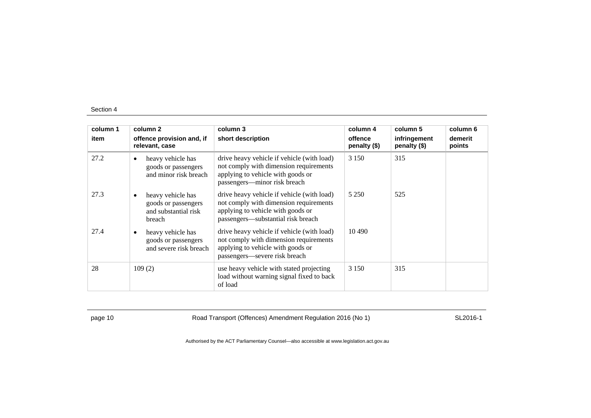| column 1 | column 2                                                                        | column 3                                                                                                                                                        | column 4                | column 5                     | column 6          |
|----------|---------------------------------------------------------------------------------|-----------------------------------------------------------------------------------------------------------------------------------------------------------------|-------------------------|------------------------------|-------------------|
| item     | offence provision and, if<br>relevant, case                                     | short description                                                                                                                                               | offence<br>penalty (\$) | infringement<br>penalty (\$) | demerit<br>points |
| 27.2     | heavy vehicle has<br>٠<br>goods or passengers<br>and minor risk breach          | drive heavy vehicle if vehicle (with load)<br>not comply with dimension requirements<br>applying to vehicle with goods or<br>passengers—minor risk breach       | 3 1 5 0                 | 315                          |                   |
| 27.3     | heavy vehicle has<br>٠<br>goods or passengers<br>and substantial risk<br>breach | drive heavy vehicle if vehicle (with load)<br>not comply with dimension requirements<br>applying to vehicle with goods or<br>passengers—substantial risk breach | 5 2 5 0                 | 525                          |                   |
| 27.4     | heavy vehicle has<br>goods or passengers<br>and severe risk breach              | drive heavy vehicle if vehicle (with load)<br>not comply with dimension requirements<br>applying to vehicle with goods or<br>passengers—severe risk breach      | 10.490                  |                              |                   |
| 28       | 109(2)                                                                          | use heavy vehicle with stated projecting<br>load without warning signal fixed to back<br>of load                                                                | 3 1 5 0                 | 315                          |                   |

page 10 Road Transport (Offences) Amendment Regulation 2016 (No 1) SL2016-1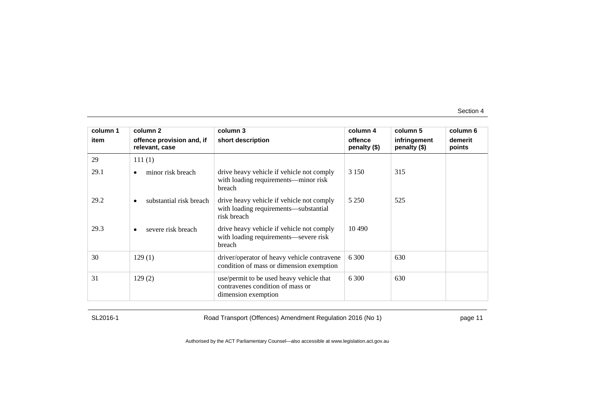| column 1 | column 2                                    | column 3                                                                                            | column 4                | column 5                     | column 6          |
|----------|---------------------------------------------|-----------------------------------------------------------------------------------------------------|-------------------------|------------------------------|-------------------|
| item     | offence provision and, if<br>relevant, case | short description                                                                                   | offence<br>penalty (\$) | infringement<br>penalty (\$) | demerit<br>points |
| 29       | 111(1)                                      |                                                                                                     |                         |                              |                   |
| 29.1     | minor risk breach<br>$\bullet$              | drive heavy vehicle if vehicle not comply<br>with loading requirements—minor risk<br>breach         | 3 1 5 0                 | 315                          |                   |
| 29.2     | substantial risk breach<br>$\bullet$        | drive heavy vehicle if vehicle not comply<br>with loading requirements—substantial<br>risk breach   | 5 2 5 0                 | 525                          |                   |
| 29.3     | severe risk breach<br>$\bullet$             | drive heavy vehicle if vehicle not comply<br>with loading requirements-severe risk<br>breach        | 10 490                  |                              |                   |
| 30       | 129(1)                                      | driver/operator of heavy vehicle contravene<br>condition of mass or dimension exemption             | 6 300                   | 630                          |                   |
| 31       | 129(2)                                      | use/permit to be used heavy vehicle that<br>contravenes condition of mass or<br>dimension exemption | 6 300                   | 630                          |                   |

SL2016-1 Road Transport (Offences) Amendment Regulation 2016 (No 1) page 11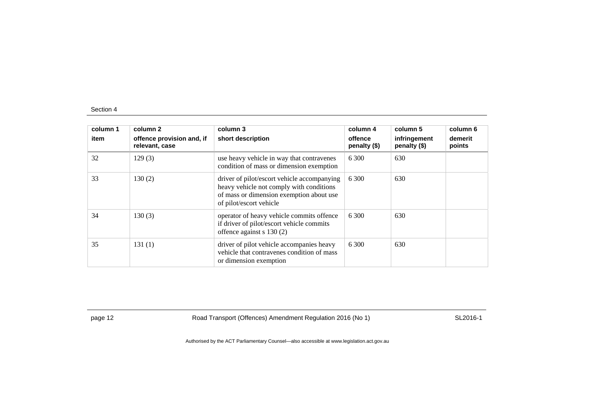| column 1<br>item | column 2<br>offence provision and, if<br>relevant, case | column 3<br>short description                                                                                                                                  | column 4<br>offence<br>penalty (\$) | column 5<br>infringement<br>penalty (\$) | column 6<br>demerit<br>points |
|------------------|---------------------------------------------------------|----------------------------------------------------------------------------------------------------------------------------------------------------------------|-------------------------------------|------------------------------------------|-------------------------------|
| 32               | 129(3)                                                  | use heavy vehicle in way that contravenes<br>condition of mass or dimension exemption                                                                          | 6 300                               | 630                                      |                               |
| 33               | 130(2)                                                  | driver of pilot/escort vehicle accompanying<br>heavy vehicle not comply with conditions<br>of mass or dimension exemption about use<br>of pilot/escort vehicle | 6 300                               | 630                                      |                               |
| 34               | 130(3)                                                  | operator of heavy vehicle commits offence<br>if driver of pilot/escort vehicle commits<br>offence against $s$ 130 (2)                                          | 6.300                               | 630                                      |                               |
| 35               | 131(1)                                                  | driver of pilot vehicle accompanies heavy<br>vehicle that contravenes condition of mass<br>or dimension exemption                                              | 6 300                               | 630                                      |                               |

page 12 **Road Transport (Offences) Amendment Regulation 2016 (No 1)** SL2016-1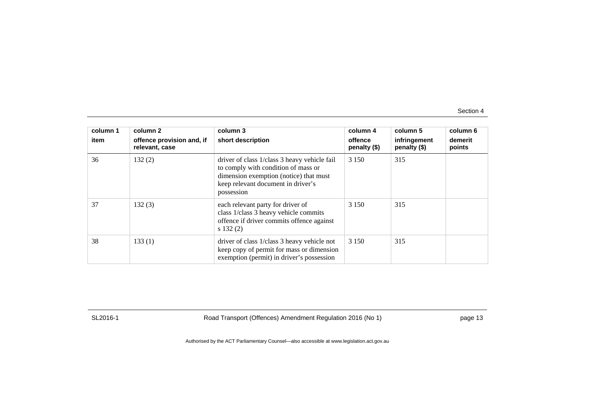| column 1<br>item | column 2<br>offence provision and, if<br>relevant, case | column 3<br>short description                                                                                                                                                     | column 4<br>offence<br>penalty $(\$)$ | column 5<br>infringement<br>penalty (\$) | column 6<br>demerit<br>points |
|------------------|---------------------------------------------------------|-----------------------------------------------------------------------------------------------------------------------------------------------------------------------------------|---------------------------------------|------------------------------------------|-------------------------------|
| 36               | 132(2)                                                  | driver of class 1/class 3 heavy vehicle fail<br>to comply with condition of mass or<br>dimension exemption (notice) that must<br>keep relevant document in driver's<br>possession | 3 1 5 0                               | 315                                      |                               |
| 37               | 132(3)                                                  | each relevant party for driver of<br>class 1/class 3 heavy vehicle commits<br>offence if driver commits offence against<br>s 132(2)                                               | 3 1 5 0                               | 315                                      |                               |
| 38               | 133(1)                                                  | driver of class 1/class 3 heavy vehicle not<br>keep copy of permit for mass or dimension<br>exemption (permit) in driver's possession                                             | 3 1 5 0                               | 315                                      |                               |

SL2016-1 Road Transport (Offences) Amendment Regulation 2016 (No 1) page 13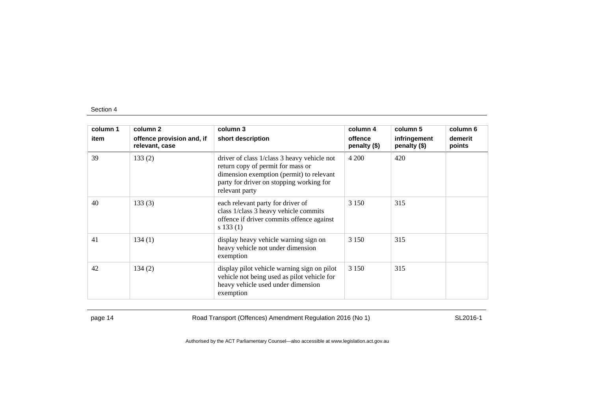| column 1 | column 2                                    | column 3                                                                                                                                                                                   | column 4                | column 5                     | column 6          |
|----------|---------------------------------------------|--------------------------------------------------------------------------------------------------------------------------------------------------------------------------------------------|-------------------------|------------------------------|-------------------|
| item     | offence provision and, if<br>relevant, case | short description                                                                                                                                                                          | offence<br>penalty (\$) | infringement<br>penalty (\$) | demerit<br>points |
| 39       | 133(2)                                      | driver of class 1/class 3 heavy vehicle not<br>return copy of permit for mass or<br>dimension exemption (permit) to relevant<br>party for driver on stopping working for<br>relevant party | 4 200                   | 420                          |                   |
| 40       | 133(3)                                      | each relevant party for driver of<br>class 1/class 3 heavy vehicle commits<br>offence if driver commits offence against<br>s 133(1)                                                        | 3 1 5 0                 | 315                          |                   |
| 41       | 134(1)                                      | display heavy vehicle warning sign on<br>heavy vehicle not under dimension<br>exemption                                                                                                    | 3 1 5 0                 | 315                          |                   |
| 42       | 134(2)                                      | display pilot vehicle warning sign on pilot<br>vehicle not being used as pilot vehicle for<br>heavy vehicle used under dimension<br>exemption                                              | 3 1 5 0                 | 315                          |                   |

page 14 **Road Transport (Offences) Amendment Regulation 2016 (No 1)** SL2016-1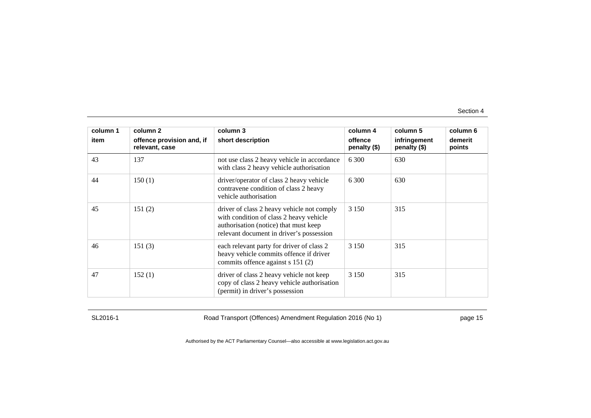| column 1 | column 2                                    | column 3                                                                                                                                                                   | column 4                | column 5                     | column 6          |
|----------|---------------------------------------------|----------------------------------------------------------------------------------------------------------------------------------------------------------------------------|-------------------------|------------------------------|-------------------|
| item     | offence provision and, if<br>relevant, case | short description                                                                                                                                                          | offence<br>penalty (\$) | infringement<br>penalty (\$) | demerit<br>points |
| 43       | 137                                         | not use class 2 heavy vehicle in accordance<br>with class 2 heavy vehicle authorisation                                                                                    | 6 300                   | 630                          |                   |
| 44       | 150(1)                                      | driver/operator of class 2 heavy vehicle<br>contravene condition of class 2 heavy<br>vehicle authorisation                                                                 | 6.300                   | 630                          |                   |
| 45       | 151(2)                                      | driver of class 2 heavy vehicle not comply<br>with condition of class 2 heavy vehicle<br>authorisation (notice) that must keep<br>relevant document in driver's possession | 3 1 5 0                 | 315                          |                   |
| 46       | 151(3)                                      | each relevant party for driver of class 2<br>heavy vehicle commits offence if driver<br>commits offence against s 151 (2)                                                  | 3 1 5 0                 | 315                          |                   |
| 47       | 152(1)                                      | driver of class 2 heavy vehicle not keep<br>copy of class 2 heavy vehicle authorisation<br>(permit) in driver's possession                                                 | 3 1 5 0                 | 315                          |                   |

SL2016-1 Road Transport (Offences) Amendment Regulation 2016 (No 1) page 15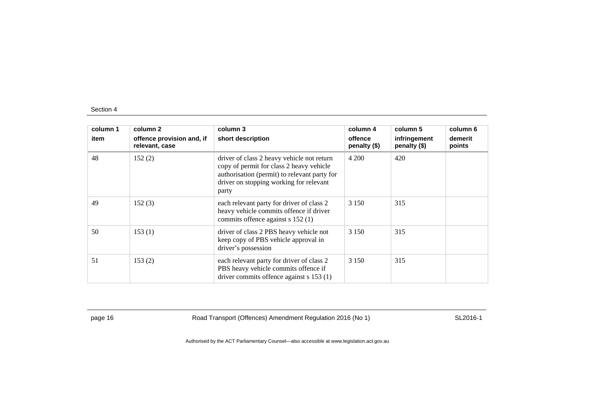| column 1<br>item | column 2<br>offence provision and, if<br>relevant, case | column 3<br>short description                                                                                                                                                              | column 4<br>offence<br>penalty (\$) | column 5<br>infringement<br>penalty (\$) | column 6<br>demerit<br>points |
|------------------|---------------------------------------------------------|--------------------------------------------------------------------------------------------------------------------------------------------------------------------------------------------|-------------------------------------|------------------------------------------|-------------------------------|
| 48               | 152(2)                                                  | driver of class 2 heavy vehicle not return<br>copy of permit for class 2 heavy vehicle<br>authorisation (permit) to relevant party for<br>driver on stopping working for relevant<br>party | 4 200                               | 420                                      |                               |
| 49               | 152(3)                                                  | each relevant party for driver of class 2<br>heavy vehicle commits offence if driver<br>commits offence against s 152 (1)                                                                  | 3 1 5 0                             | 315                                      |                               |
| 50               | 153(1)                                                  | driver of class 2 PBS heavy vehicle not<br>keep copy of PBS vehicle approval in<br>driver's possession                                                                                     | 3 1 5 0                             | 315                                      |                               |
| 51               | 153(2)                                                  | each relevant party for driver of class 2<br>PBS heavy vehicle commits offence if<br>driver commits offence against s 153 (1)                                                              | 3 1 5 0                             | 315                                      |                               |

page 16 **Road Transport (Offences) Amendment Regulation 2016 (No 1)** SL2016-1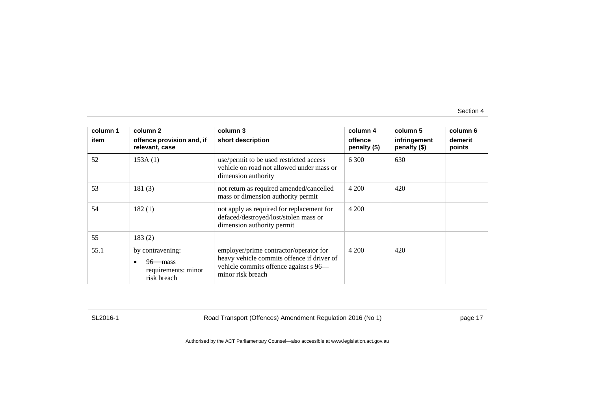| column 1 | column 2                                                                         | column 3                                                                                                                                           | column 4                  | column 5                     | column 6          |
|----------|----------------------------------------------------------------------------------|----------------------------------------------------------------------------------------------------------------------------------------------------|---------------------------|------------------------------|-------------------|
| item     | offence provision and, if<br>relevant, case                                      | short description                                                                                                                                  | offence<br>penalty $(\$)$ | infringement<br>penalty (\$) | demerit<br>points |
| 52       | 153A(1)                                                                          | use/permit to be used restricted access<br>vehicle on road not allowed under mass or<br>dimension authority                                        | 6.300                     | 630                          |                   |
| 53       | 181(3)                                                                           | not return as required amended/cancelled<br>mass or dimension authority permit                                                                     | 4 200                     | 420                          |                   |
| 54       | 182(1)                                                                           | not apply as required for replacement for<br>defaced/destroyed/lost/stolen mass or<br>dimension authority permit                                   | 4 200                     |                              |                   |
| 55       | 183(2)                                                                           |                                                                                                                                                    |                           |                              |                   |
| 55.1     | by contravening:<br>$96$ mass<br>$\bullet$<br>requirements: minor<br>risk breach | employer/prime contractor/operator for<br>heavy vehicle commits offence if driver of<br>vehicle commits offence against s 96-<br>minor risk breach | 4 200                     | 420                          |                   |

SL2016-1 Road Transport (Offences) Amendment Regulation 2016 (No 1) page 17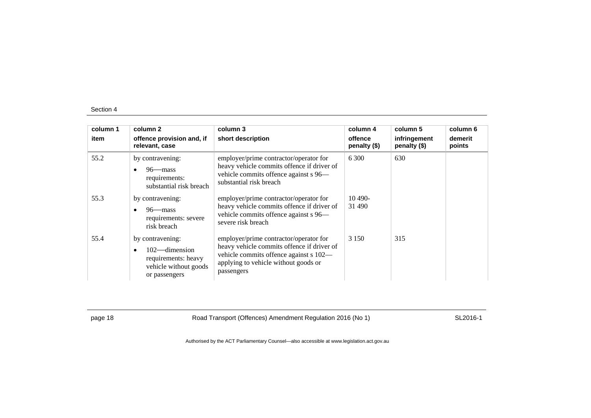| column 1<br>item | column 2<br>offence provision and, if<br>relevant, case                                               | column 3<br>short description                                                                                                                                                        | column 4<br>offence<br>penalty (\$) | column 5<br>infringement<br>penalty (\$) | column 6<br>demerit<br>points |
|------------------|-------------------------------------------------------------------------------------------------------|--------------------------------------------------------------------------------------------------------------------------------------------------------------------------------------|-------------------------------------|------------------------------------------|-------------------------------|
| 55.2             | by contravening:<br>$96$ —mass<br>requirements:<br>substantial risk breach                            | employer/prime contractor/operator for<br>heavy vehicle commits offence if driver of<br>vehicle commits offence against s 96—<br>substantial risk breach                             | 6 300                               | 630                                      |                               |
| 55.3             | by contravening:<br>$96$ —mass<br>requirements: severe<br>risk breach                                 | employer/prime contractor/operator for<br>heavy vehicle commits offence if driver of<br>vehicle commits offence against s 96-<br>severe risk breach                                  | $10490-$<br>31 490                  |                                          |                               |
| 55.4             | by contravening:<br>$102$ —dimension<br>requirements: heavy<br>vehicle without goods<br>or passengers | employer/prime contractor/operator for<br>heavy vehicle commits offence if driver of<br>vehicle commits offence against s 102—<br>applying to vehicle without goods or<br>passengers | 3 1 5 0                             | 315                                      |                               |

page 18 **Road Transport (Offences) Amendment Regulation 2016 (No 1)** SL2016-1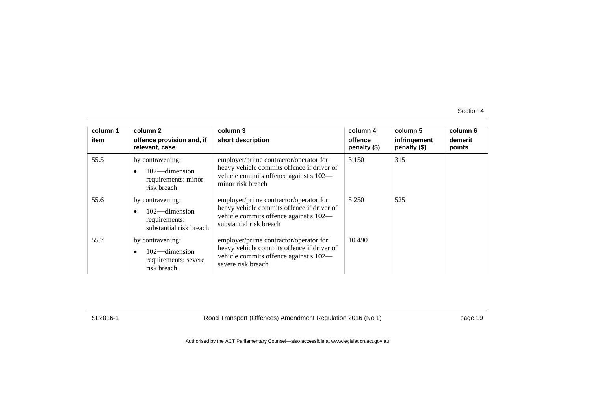| column 1<br>item | column 2<br>offence provision and, if<br>relevant, case                                       | column 3<br>short description                                                                                                                             | column 4<br>offence<br>penalty (\$) | column 5<br>infringement<br>penalty (\$) | column 6<br>demerit<br>points |
|------------------|-----------------------------------------------------------------------------------------------|-----------------------------------------------------------------------------------------------------------------------------------------------------------|-------------------------------------|------------------------------------------|-------------------------------|
| 55.5             | by contravening:<br>102—dimension<br>$\bullet$<br>requirements: minor<br>risk breach          | employer/prime contractor/operator for<br>heavy vehicle commits offence if driver of<br>vehicle commits offence against s 102—<br>minor risk breach       | 3 1 5 0                             | 315                                      |                               |
| 55.6             | by contravening:<br>$102$ —dimension<br>$\bullet$<br>requirements:<br>substantial risk breach | employer/prime contractor/operator for<br>heavy vehicle commits offence if driver of<br>vehicle commits offence against s 102—<br>substantial risk breach | 5 2 5 0                             | 525                                      |                               |
| 55.7             | by contravening:<br>$102$ —dimension<br>$\bullet$<br>requirements: severe<br>risk breach      | employer/prime contractor/operator for<br>heavy vehicle commits offence if driver of<br>vehicle commits offence against s 102—<br>severe risk breach      | 10 490                              |                                          |                               |

SL2016-1 Road Transport (Offences) Amendment Regulation 2016 (No 1) page 19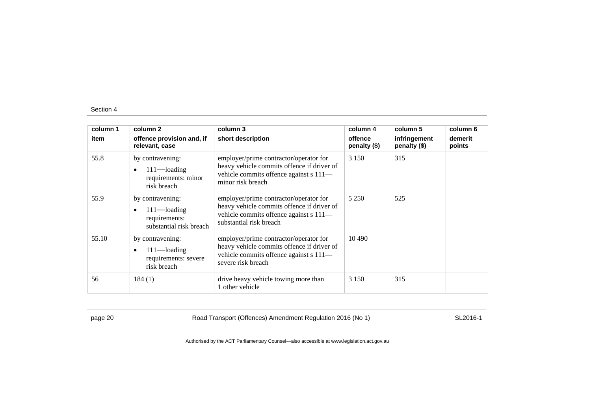| column 1 | column 2                                                                       | column 3                                                                                                                                                  | column 4                | column 5                     | column 6          |
|----------|--------------------------------------------------------------------------------|-----------------------------------------------------------------------------------------------------------------------------------------------------------|-------------------------|------------------------------|-------------------|
| item     | offence provision and, if<br>relevant, case                                    | short description                                                                                                                                         | offence<br>penalty (\$) | infringement<br>penalty (\$) | demerit<br>points |
| 55.8     | by contravening:<br>$111$ —loading<br>requirements: minor<br>risk breach       | employer/prime contractor/operator for<br>heavy vehicle commits offence if driver of<br>vehicle commits offence against s 111-<br>minor risk breach       | 3 1 5 0                 | 315                          |                   |
| 55.9     | by contravening:<br>$111$ —loading<br>requirements:<br>substantial risk breach | employer/prime contractor/operator for<br>heavy vehicle commits offence if driver of<br>vehicle commits offence against s 111-<br>substantial risk breach | 5 2 5 0                 | 525                          |                   |
| 55.10    | by contravening:<br>$111$ —loading<br>requirements: severe<br>risk breach      | employer/prime contractor/operator for<br>heavy vehicle commits offence if driver of<br>vehicle commits offence against s 111-<br>severe risk breach      | 10 490                  |                              |                   |
| 56       | 184(1)                                                                         | drive heavy vehicle towing more than<br>1 other vehicle                                                                                                   | 3 1 5 0                 | 315                          |                   |

page 20 Road Transport (Offences) Amendment Regulation 2016 (No 1) SL2016-1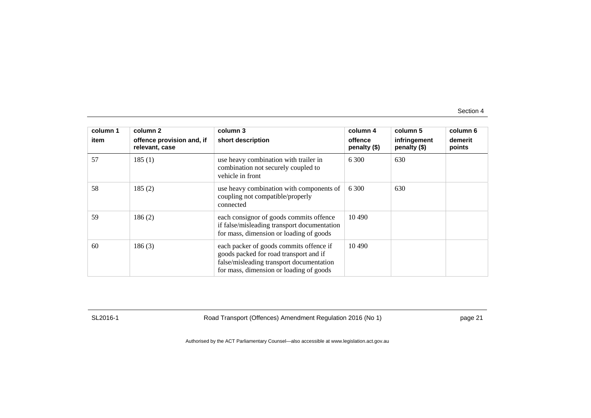| column 1<br>item | column 2<br>offence provision and, if<br>relevant, case | column 3<br>short description                                                                                                                                            | column 4<br>offence<br>penalty (\$) | column 5<br>infringement<br>penalty (\$) | column 6<br>demerit<br>points |
|------------------|---------------------------------------------------------|--------------------------------------------------------------------------------------------------------------------------------------------------------------------------|-------------------------------------|------------------------------------------|-------------------------------|
| 57               | 185(1)                                                  | use heavy combination with trailer in<br>combination not securely coupled to<br>vehicle in front                                                                         | 6 300                               | 630                                      |                               |
| 58               | 185(2)                                                  | use heavy combination with components of<br>coupling not compatible/properly<br>connected                                                                                | 6 300                               | 630                                      |                               |
| 59               | 186(2)                                                  | each consignor of goods commits offence<br>if false/misleading transport documentation<br>for mass, dimension or loading of goods                                        | 10 490                              |                                          |                               |
| 60               | 186(3)                                                  | each packer of goods commits offence if<br>goods packed for road transport and if<br>false/misleading transport documentation<br>for mass, dimension or loading of goods | 10 490                              |                                          |                               |

SL2016-1 Road Transport (Offences) Amendment Regulation 2016 (No 1) page 21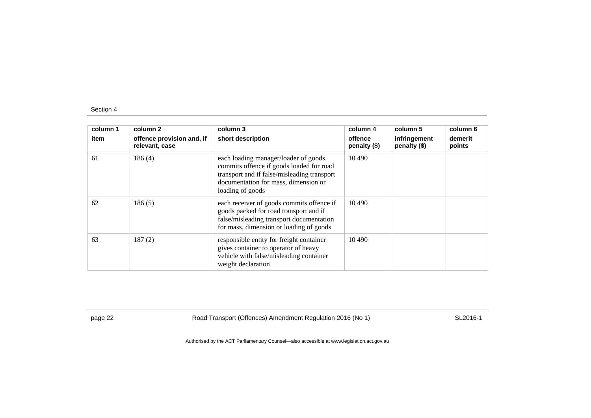| column 1<br>item | column 2<br>offence provision and, if<br>relevant, case | column 3<br>short description                                                                                                                                                               | column 4<br>offence<br>penalty $(\$)$ | column 5<br>infringement<br>penalty (\$) | column 6<br>demerit<br>points |
|------------------|---------------------------------------------------------|---------------------------------------------------------------------------------------------------------------------------------------------------------------------------------------------|---------------------------------------|------------------------------------------|-------------------------------|
| 61               | 186(4)                                                  | each loading manager/loader of goods<br>commits offence if goods loaded for road<br>transport and if false/misleading transport<br>documentation for mass, dimension or<br>loading of goods | 10.490                                |                                          |                               |
| 62               | 186(5)                                                  | each receiver of goods commits offence if<br>goods packed for road transport and if<br>false/misleading transport documentation<br>for mass, dimension or loading of goods                  | 10 4 90                               |                                          |                               |
| 63               | 187(2)                                                  | responsible entity for freight container<br>gives container to operator of heavy<br>vehicle with false/misleading container<br>weight declaration                                           | 10 490                                |                                          |                               |

page 22 **Road Transport (Offences) Amendment Regulation 2016 (No 1)** SL2016-1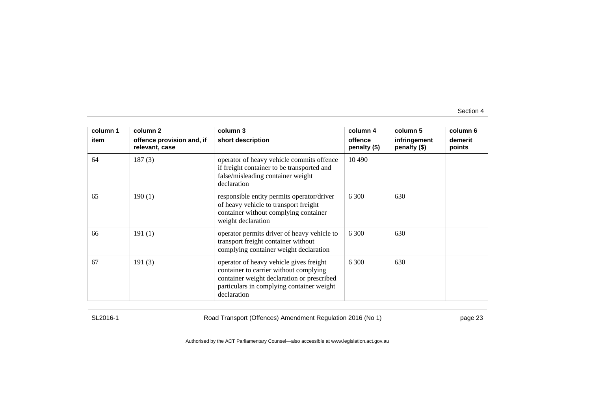| column 1 | column 2                                    | column 3                                                                                                                                                                                    | column 4                | column 5                     | column 6          |
|----------|---------------------------------------------|---------------------------------------------------------------------------------------------------------------------------------------------------------------------------------------------|-------------------------|------------------------------|-------------------|
| item     | offence provision and, if<br>relevant, case | short description                                                                                                                                                                           | offence<br>penalty (\$) | infringement<br>penalty (\$) | demerit<br>points |
| 64       | 187(3)                                      | operator of heavy vehicle commits offence<br>if freight container to be transported and<br>false/misleading container weight<br>declaration                                                 | 10 490                  |                              |                   |
| 65       | 190(1)                                      | responsible entity permits operator/driver<br>of heavy vehicle to transport freight<br>container without complying container<br>weight declaration                                          | 6.300                   | 630                          |                   |
| 66       | 191(1)                                      | operator permits driver of heavy vehicle to<br>transport freight container without<br>complying container weight declaration                                                                | 6.300                   | 630                          |                   |
| 67       | 191(3)                                      | operator of heavy vehicle gives freight<br>container to carrier without complying<br>container weight declaration or prescribed<br>particulars in complying container weight<br>declaration | 6 300                   | 630                          |                   |

SL2016-1 Road Transport (Offences) Amendment Regulation 2016 (No 1) page 23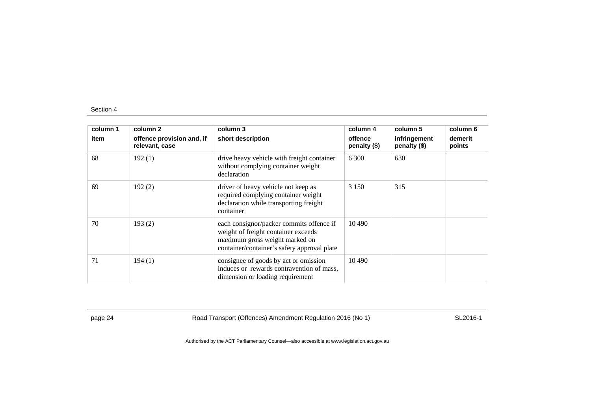| column 1<br>item | column 2<br>offence provision and, if<br>relevant, case | column 3<br>short description                                                                                                                                    | column 4<br>offence<br>penalty (\$) | column 5<br>infringement<br>penalty (\$) | column 6<br>demerit<br>points |
|------------------|---------------------------------------------------------|------------------------------------------------------------------------------------------------------------------------------------------------------------------|-------------------------------------|------------------------------------------|-------------------------------|
| 68               | 192(1)                                                  | drive heavy vehicle with freight container<br>without complying container weight<br>declaration                                                                  | 6.300                               | 630                                      |                               |
| 69               | 192(2)                                                  | driver of heavy vehicle not keep as<br>required complying container weight<br>declaration while transporting freight<br>container                                | 3 1 5 0                             | 315                                      |                               |
| 70               | 193(2)                                                  | each consignor/packer commits offence if<br>weight of freight container exceeds<br>maximum gross weight marked on<br>container/container's safety approval plate | 10 490                              |                                          |                               |
| 71               | 194(1)                                                  | consignee of goods by act or omission<br>induces or rewards contravention of mass,<br>dimension or loading requirement                                           | 10 4 9 0                            |                                          |                               |

page 24 Road Transport (Offences) Amendment Regulation 2016 (No 1) SL2016-1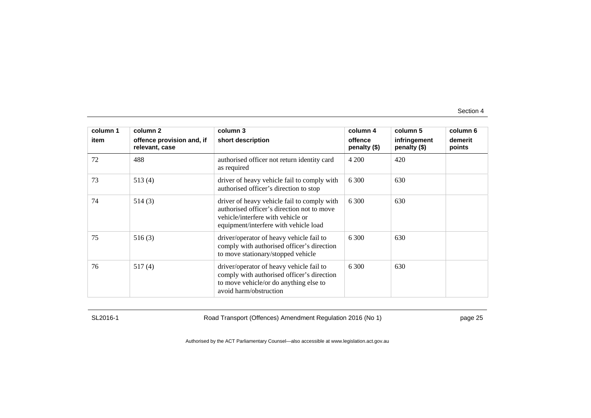| column 1 | column 2                                    | column 3                                                                                                                                                                | column 4                | column 5                     | column 6          |
|----------|---------------------------------------------|-------------------------------------------------------------------------------------------------------------------------------------------------------------------------|-------------------------|------------------------------|-------------------|
| item     | offence provision and, if<br>relevant, case | short description                                                                                                                                                       | offence<br>penalty (\$) | infringement<br>penalty (\$) | demerit<br>points |
| 72       | 488                                         | authorised officer not return identity card<br>as required                                                                                                              | 4 200                   | 420                          |                   |
| 73       | 513(4)                                      | driver of heavy vehicle fail to comply with<br>authorised officer's direction to stop                                                                                   | 6 300                   | 630                          |                   |
| 74       | 514(3)                                      | driver of heavy vehicle fail to comply with<br>authorised officer's direction not to move<br>vehicle/interfere with vehicle or<br>equipment/interfere with vehicle load | 6 300                   | 630                          |                   |
| 75       | 516(3)                                      | driver/operator of heavy vehicle fail to<br>comply with authorised officer's direction<br>to move stationary/stopped vehicle                                            | 6 300                   | 630                          |                   |
| 76       | 517(4)                                      | driver/operator of heavy vehicle fail to<br>comply with authorised officer's direction<br>to move vehicle/or do anything else to<br>avoid harm/obstruction              | 6 300                   | 630                          |                   |

SL2016-1 Road Transport (Offences) Amendment Regulation 2016 (No 1) page 25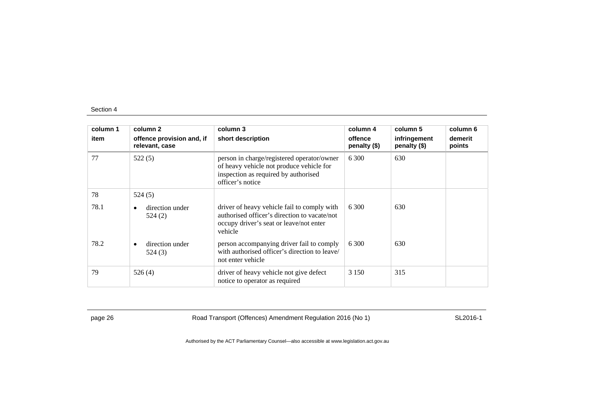| column 1<br>item | column 2<br>offence provision and, if<br>relevant, case | column 3<br>short description                                                                                                                      | column 4<br>offence<br>penalty (\$) | column 5<br>infringement<br>penalty (\$) | column 6<br>demerit<br>points |
|------------------|---------------------------------------------------------|----------------------------------------------------------------------------------------------------------------------------------------------------|-------------------------------------|------------------------------------------|-------------------------------|
| 77               | 522(5)                                                  | person in charge/registered operator/owner<br>of heavy vehicle not produce vehicle for<br>inspection as required by authorised<br>officer's notice | 6.300                               | 630                                      |                               |
| 78               | 524(5)                                                  |                                                                                                                                                    |                                     |                                          |                               |
| 78.1             | direction under<br>524 (2)                              | driver of heavy vehicle fail to comply with<br>authorised officer's direction to vacate/not<br>occupy driver's seat or leave/not enter<br>vehicle  | 6.300                               | 630                                      |                               |
| 78.2             | direction under<br>524(3)                               | person accompanying driver fail to comply<br>with authorised officer's direction to leave/<br>not enter vehicle                                    | 6 300                               | 630                                      |                               |
| 79               | 526(4)                                                  | driver of heavy vehicle not give defect<br>notice to operator as required                                                                          | 3 1 5 0                             | 315                                      |                               |

page 26 **Road Transport (Offences) Amendment Regulation 2016 (No 1)** SL2016-1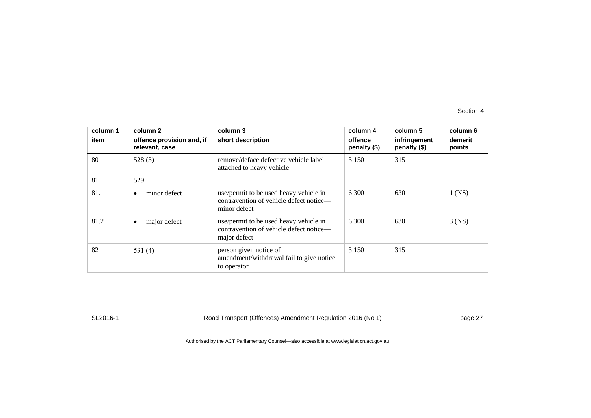| column 1<br>item | column 2<br>offence provision and, if<br>relevant, case | column 3<br>short description                                                                     | column 4<br>offence<br>penalty $(\$)$ | column 5<br>infringement<br>penalty (\$) | column 6<br>demerit<br>points |
|------------------|---------------------------------------------------------|---------------------------------------------------------------------------------------------------|---------------------------------------|------------------------------------------|-------------------------------|
| 80               | 528(3)                                                  | remove/deface defective vehicle label<br>attached to heavy vehicle                                | 3 1 5 0                               | 315                                      |                               |
| 81               | 529                                                     |                                                                                                   |                                       |                                          |                               |
| 81.1             | minor defect<br>٠                                       | use/permit to be used heavy vehicle in<br>contravention of vehicle defect notice—<br>minor defect | 6.300                                 | 630                                      | $1$ (NS)                      |
| 81.2             | major defect<br>٠                                       | use/permit to be used heavy vehicle in<br>contravention of vehicle defect notice-<br>major defect | 6 300                                 | 630                                      | $3$ (NS)                      |
| 82               | 531 $(4)$                                               | person given notice of<br>amendment/withdrawal fail to give notice<br>to operator                 | 3 1 5 0                               | 315                                      |                               |

SL2016-1 Road Transport (Offences) Amendment Regulation 2016 (No 1) page 27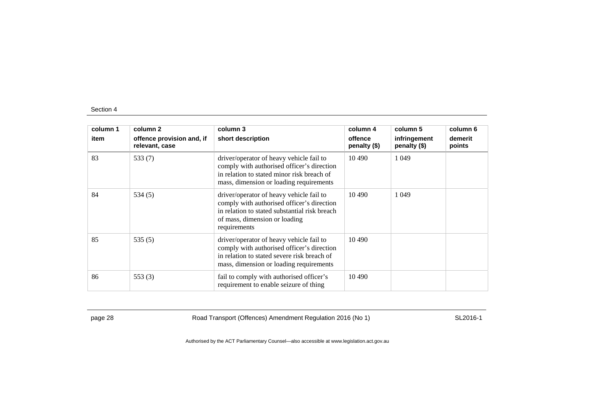| column 1 | column 2                                    | column 3                                                                                                                                                                                 | column 4                | column 5                     | column 6          |
|----------|---------------------------------------------|------------------------------------------------------------------------------------------------------------------------------------------------------------------------------------------|-------------------------|------------------------------|-------------------|
| item     | offence provision and, if<br>relevant, case | short description                                                                                                                                                                        | offence<br>penalty (\$) | infringement<br>penalty (\$) | demerit<br>points |
| 83       | 533 $(7)$                                   | driver/operator of heavy vehicle fail to<br>comply with authorised officer's direction<br>in relation to stated minor risk breach of<br>mass, dimension or loading requirements          | 10 490                  | 1 0 4 9                      |                   |
| 84       | 534(5)                                      | driver/operator of heavy vehicle fail to<br>comply with authorised officer's direction<br>in relation to stated substantial risk breach<br>of mass, dimension or loading<br>requirements | 10.490                  | 1 0 4 9                      |                   |
| 85       | 535 $(5)$                                   | driver/operator of heavy vehicle fail to<br>comply with authorised officer's direction<br>in relation to stated severe risk breach of<br>mass, dimension or loading requirements         | 10.490                  |                              |                   |
| 86       | 553 $(3)$                                   | fail to comply with authorised officer's<br>requirement to enable seizure of thing                                                                                                       | 10 490                  |                              |                   |

page 28 **Road Transport (Offences) Amendment Regulation 2016 (No 1)** SL2016-1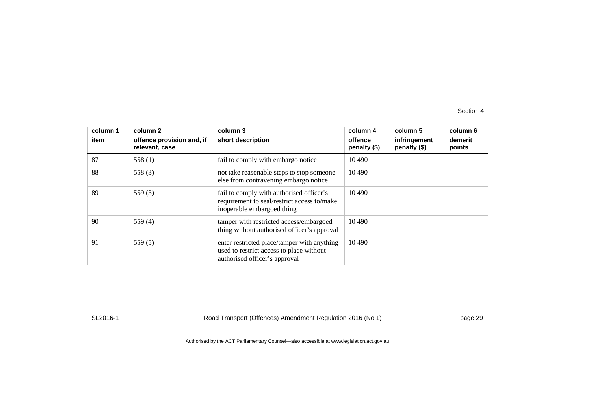| column 1<br>item | column 2<br>offence provision and, if<br>relevant, case | column 3<br>short description                                                                                            | column 4<br>offence<br>penalty $(\$)$ | column 5<br>infringement<br>penalty (\$) | column 6<br>demerit<br>points |
|------------------|---------------------------------------------------------|--------------------------------------------------------------------------------------------------------------------------|---------------------------------------|------------------------------------------|-------------------------------|
| 87               | 558 $(1)$                                               | fail to comply with embargo notice                                                                                       | 10 490                                |                                          |                               |
| 88               | 558 $(3)$                                               | not take reasonable steps to stop someone<br>else from contravening embargo notice                                       | 10 4 90                               |                                          |                               |
| 89               | 559 $(3)$                                               | fail to comply with authorised officer's<br>requirement to seal/restrict access to/make<br>inoperable embargoed thing    | 10.490                                |                                          |                               |
| 90               | 559 $(4)$                                               | tamper with restricted access/embargoed<br>thing without authorised officer's approval                                   | 10 490                                |                                          |                               |
| 91               | 559(5)                                                  | enter restricted place/tamper with anything<br>used to restrict access to place without<br>authorised officer's approval | 10 4 90                               |                                          |                               |

SL2016-1 Road Transport (Offences) Amendment Regulation 2016 (No 1) page 29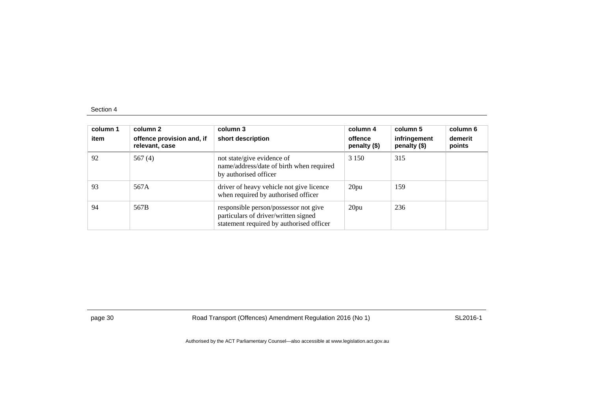| column 1<br>item | column 2<br>offence provision and, if<br>relevant, case | column 3<br>short description                                                                                             | column 4<br>offence<br>penalty (\$) | column 5<br>infringement<br>penalty (\$) | column 6<br>demerit<br>points |
|------------------|---------------------------------------------------------|---------------------------------------------------------------------------------------------------------------------------|-------------------------------------|------------------------------------------|-------------------------------|
| 92               | 567 $(4)$                                               | not state/give evidence of<br>name/address/date of birth when required<br>by authorised officer                           | 3 1 5 0                             | 315                                      |                               |
| 93               | 567A                                                    | driver of heavy vehicle not give licence<br>when required by authorised officer                                           | 20pu                                | 159                                      |                               |
| 94               | 567B                                                    | responsible person/possessor not give<br>particulars of driver/written signed<br>statement required by authorised officer | 20pu                                | 236                                      |                               |

page 30 Road Transport (Offences) Amendment Regulation 2016 (No 1) SL2016-1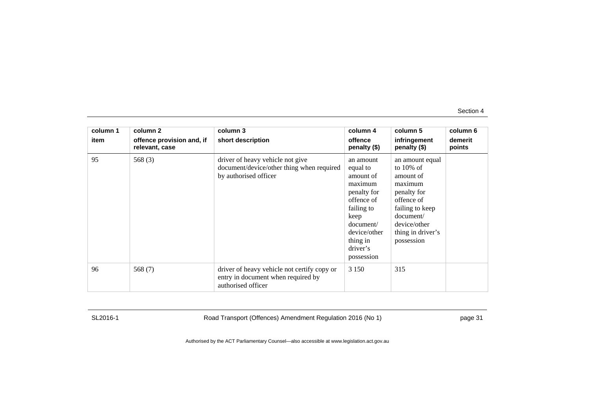| column 1 | column 2                                    | column 3                                                                                                | column 4                                                                                                                                                            | column 5                                                                                                                                                                | column 6          |
|----------|---------------------------------------------|---------------------------------------------------------------------------------------------------------|---------------------------------------------------------------------------------------------------------------------------------------------------------------------|-------------------------------------------------------------------------------------------------------------------------------------------------------------------------|-------------------|
| item     | offence provision and, if<br>relevant, case | short description                                                                                       | offence<br>penalty (\$)                                                                                                                                             | infringement<br>penalty (\$)                                                                                                                                            | demerit<br>points |
| 95       | 568 $(3)$                                   | driver of heavy vehicle not give<br>document/device/other thing when required<br>by authorised officer  | an amount<br>equal to<br>amount of<br>maximum<br>penalty for<br>offence of<br>failing to<br>keep<br>document/<br>device/other<br>thing in<br>driver's<br>possession | an amount equal<br>to $10\%$ of<br>amount of<br>maximum<br>penalty for<br>offence of<br>failing to keep<br>document/<br>device/other<br>thing in driver's<br>possession |                   |
| 96       | 568 $(7)$                                   | driver of heavy vehicle not certify copy or<br>entry in document when required by<br>authorised officer | 3 1 5 0                                                                                                                                                             | 315                                                                                                                                                                     |                   |

SL2016-1 Road Transport (Offences) Amendment Regulation 2016 (No 1) page 31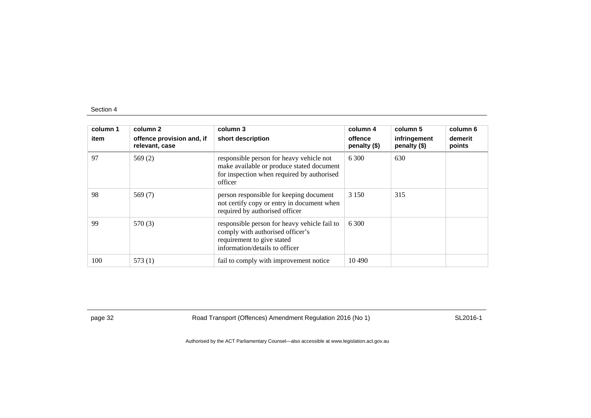| column 1<br>item | column 2<br>offence provision and, if<br>relevant, case | column 3<br>short description                                                                                                                    | column 4<br>offence<br>penalty $(\$)$ | column 5<br>infringement<br>penalty (\$) | column 6<br>demerit<br>points |
|------------------|---------------------------------------------------------|--------------------------------------------------------------------------------------------------------------------------------------------------|---------------------------------------|------------------------------------------|-------------------------------|
| 97               | 569(2)                                                  | responsible person for heavy vehicle not<br>make available or produce stated document<br>for inspection when required by authorised<br>officer   | 6 300                                 | 630                                      |                               |
| 98               | 569 $(7)$                                               | person responsible for keeping document<br>not certify copy or entry in document when<br>required by authorised officer                          | 3 1 5 0                               | 315                                      |                               |
| 99               | 570 (3)                                                 | responsible person for heavy vehicle fail to<br>comply with authorised officer's<br>requirement to give stated<br>information/details to officer | 6.300                                 |                                          |                               |
| 100              | 573(1)                                                  | fail to comply with improvement notice                                                                                                           | 10.490                                |                                          |                               |

page 32 Road Transport (Offences) Amendment Regulation 2016 (No 1) SL2016-1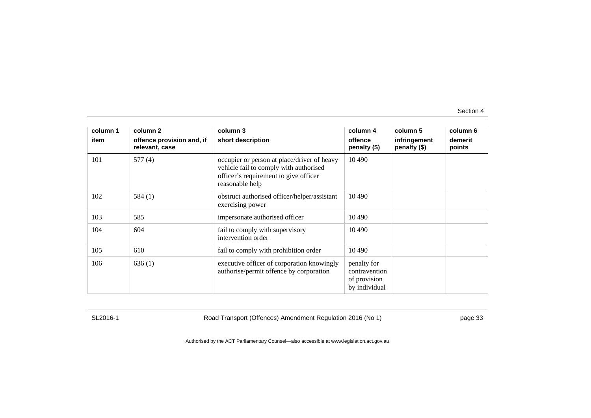| column 1<br>item | column 2<br>offence provision and, if<br>relevant, case | column 3<br>short description                                                                                                                     | column 4<br>offence<br>penalty (\$)                           | column 5<br>infringement<br>penalty (\$) | column 6<br>demerit<br>points |
|------------------|---------------------------------------------------------|---------------------------------------------------------------------------------------------------------------------------------------------------|---------------------------------------------------------------|------------------------------------------|-------------------------------|
| 101              | 577 (4)                                                 | occupier or person at place/driver of heavy<br>vehicle fail to comply with authorised<br>officer's requirement to give officer<br>reasonable help | 10 490                                                        |                                          |                               |
| 102              | 584(1)                                                  | obstruct authorised officer/helper/assistant<br>exercising power                                                                                  | 10 490                                                        |                                          |                               |
| 103              | 585                                                     | impersonate authorised officer                                                                                                                    | 10 490                                                        |                                          |                               |
| 104              | 604                                                     | fail to comply with supervisory<br>intervention order                                                                                             | 10 490                                                        |                                          |                               |
| 105              | 610                                                     | fail to comply with prohibition order                                                                                                             | 10 490                                                        |                                          |                               |
| 106              | 636(1)                                                  | executive officer of corporation knowingly<br>authorise/permit offence by corporation                                                             | penalty for<br>contravention<br>of provision<br>by individual |                                          |                               |

SL2016-1 Road Transport (Offences) Amendment Regulation 2016 (No 1) page 33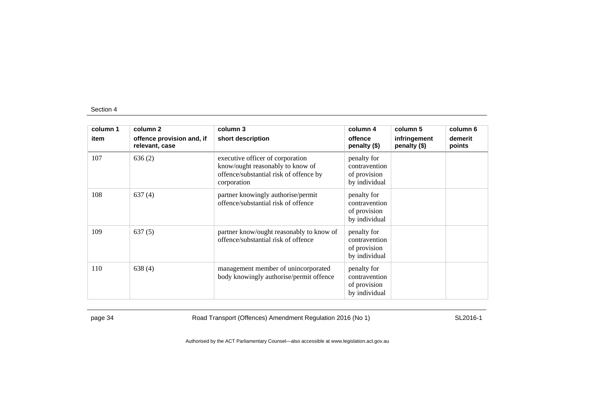| column 1 | column 2                                    | column 3                                                                                                                      | column 4                                                      | column 5                     | column 6          |
|----------|---------------------------------------------|-------------------------------------------------------------------------------------------------------------------------------|---------------------------------------------------------------|------------------------------|-------------------|
| item     | offence provision and, if<br>relevant, case | short description                                                                                                             | offence<br>penalty $(\$)$                                     | infringement<br>penalty (\$) | demerit<br>points |
| 107      | 636(2)                                      | executive officer of corporation<br>know/ought reasonably to know of<br>offence/substantial risk of offence by<br>corporation | penalty for<br>contravention<br>of provision<br>by individual |                              |                   |
| 108      | 637(4)                                      | partner knowingly authorise/permit<br>offence/substantial risk of offence                                                     | penalty for<br>contravention<br>of provision<br>by individual |                              |                   |
| 109      | 637(5)                                      | partner know/ought reasonably to know of<br>offence/substantial risk of offence                                               | penalty for<br>contravention<br>of provision<br>by individual |                              |                   |
| 110      | 638(4)                                      | management member of unincorporated<br>body knowingly authorise/permit offence                                                | penalty for<br>contravention<br>of provision<br>by individual |                              |                   |

page 34 Road Transport (Offences) Amendment Regulation 2016 (No 1) SL2016-1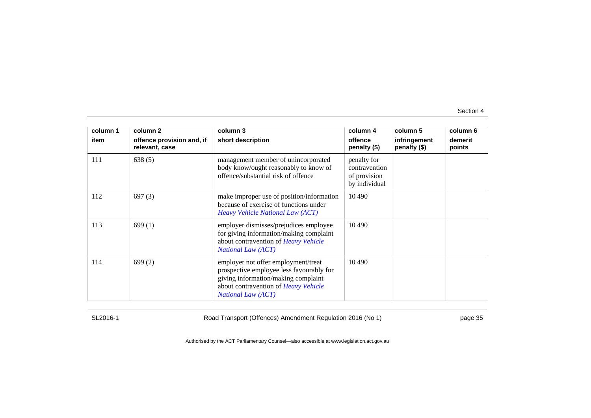| column 1 | column 2                                    | column 3                                                                                                                                                                                    | column 4                                                      | column 5                     | column 6          |
|----------|---------------------------------------------|---------------------------------------------------------------------------------------------------------------------------------------------------------------------------------------------|---------------------------------------------------------------|------------------------------|-------------------|
| item     | offence provision and, if<br>relevant, case | short description                                                                                                                                                                           | offence<br>penalty (\$)                                       | infringement<br>penalty (\$) | demerit<br>points |
| 111      | 638(5)                                      | management member of unincorporated<br>body know/ought reasonably to know of<br>offence/substantial risk of offence                                                                         | penalty for<br>contravention<br>of provision<br>by individual |                              |                   |
| 112      | 697(3)                                      | make improper use of position/information<br>because of exercise of functions under<br>Heavy Vehicle National Law (ACT)                                                                     | 10 4 90                                                       |                              |                   |
| 113      | 699(1)                                      | employer dismisses/prejudices employee<br>for giving information/making complaint<br>about contravention of Heavy Vehicle<br><b>National Law (ACT)</b>                                      | 10 4 9 0                                                      |                              |                   |
| 114      | 699(2)                                      | employer not offer employment/treat<br>prospective employee less favourably for<br>giving information/making complaint<br>about contravention of Heavy Vehicle<br><b>National Law (ACT)</b> | 10 490                                                        |                              |                   |

SL2016-1 Road Transport (Offences) Amendment Regulation 2016 (No 1) page 35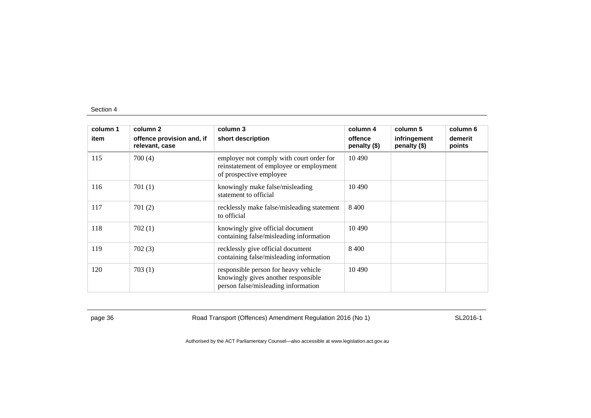| column 1 | column 2                                    | column 3                                                                                                           | column 4                | column 5                     | column 6          |
|----------|---------------------------------------------|--------------------------------------------------------------------------------------------------------------------|-------------------------|------------------------------|-------------------|
| item     | offence provision and, if<br>relevant, case | short description                                                                                                  | offence<br>penalty (\$) | infringement<br>penalty (\$) | demerit<br>points |
| 115      | 700(4)                                      | employer not comply with court order for<br>reinstatement of employee or employment<br>of prospective employee     | 10 490                  |                              |                   |
| 116      | 701(1)                                      | knowingly make false/misleading<br>statement to official                                                           | 10 490                  |                              |                   |
| 117      | 701(2)                                      | recklessly make false/misleading statement<br>to official                                                          | 8 4 0 0                 |                              |                   |
| 118      | 702(1)                                      | knowingly give official document<br>containing false/misleading information                                        | 10 490                  |                              |                   |
| 119      | 702(3)                                      | recklessly give official document<br>containing false/misleading information                                       | 8.400                   |                              |                   |
| 120      | 703(1)                                      | responsible person for heavy vehicle<br>knowingly gives another responsible<br>person false/misleading information | 10 490                  |                              |                   |

page 36 Road Transport (Offences) Amendment Regulation 2016 (No 1) SL2016-1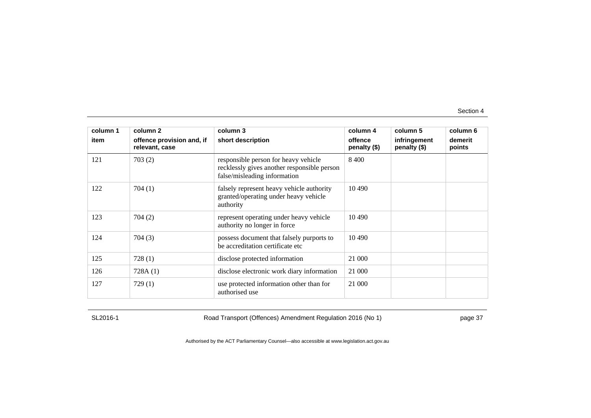| column 1 | column 2                                    | column 3                                                                                                            | column 4                | column 5                     | column 6          |
|----------|---------------------------------------------|---------------------------------------------------------------------------------------------------------------------|-------------------------|------------------------------|-------------------|
| item     | offence provision and, if<br>relevant, case | short description                                                                                                   | offence<br>penalty (\$) | infringement<br>penalty (\$) | demerit<br>points |
| 121      | 703(2)                                      | responsible person for heavy vehicle<br>recklessly gives another responsible person<br>false/misleading information | 8 4 0 0                 |                              |                   |
| 122      | 704(1)                                      | falsely represent heavy vehicle authority<br>granted/operating under heavy vehicle<br>authority                     | 10 490                  |                              |                   |
| 123      | 704(2)                                      | represent operating under heavy vehicle<br>authority no longer in force                                             | 10 490                  |                              |                   |
| 124      | 704(3)                                      | possess document that falsely purports to<br>be accreditation certificate etc                                       | 10 490                  |                              |                   |
| 125      | 728(1)                                      | disclose protected information                                                                                      | 21 000                  |                              |                   |
| 126      | 728A(1)                                     | disclose electronic work diary information                                                                          | 21 000                  |                              |                   |
| 127      | 729(1)                                      | use protected information other than for<br>authorised use                                                          | 21 000                  |                              |                   |

SL2016-1 Road Transport (Offences) Amendment Regulation 2016 (No 1) page 37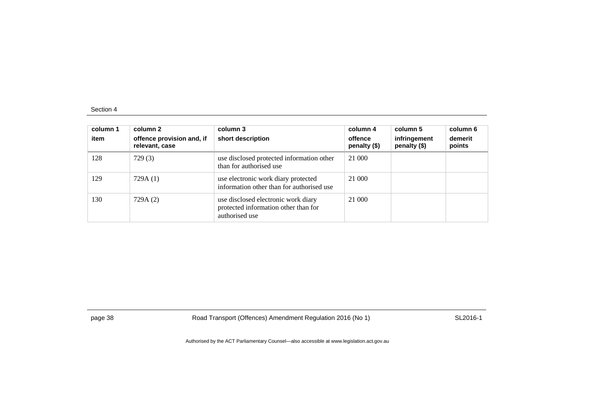| column 1<br>item | column 2<br>offence provision and, if<br>relevant, case | column 3<br>short description                                                                 | column 4<br>offence<br>penalty (\$) | column 5<br>infringement<br>penalty (\$) | column 6<br>demerit<br>points |
|------------------|---------------------------------------------------------|-----------------------------------------------------------------------------------------------|-------------------------------------|------------------------------------------|-------------------------------|
| 128              | 729(3)                                                  | use disclosed protected information other<br>than for authorised use                          | 21 000                              |                                          |                               |
| 129              | 729A (1)                                                | use electronic work diary protected<br>information other than for authorised use              | 21 000                              |                                          |                               |
| 130              | 729A (2)                                                | use disclosed electronic work diary<br>protected information other than for<br>authorised use | 21 000                              |                                          |                               |

page 38 Road Transport (Offences) Amendment Regulation 2016 (No 1) SL2016-1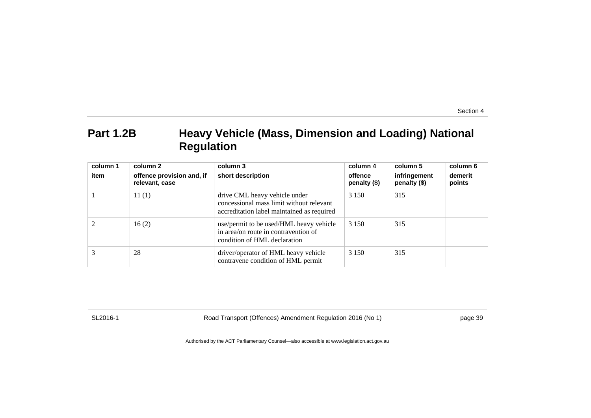## **Part 1.2B Heavy Vehicle (Mass, Dimension and Loading) National Regulation**

| column 1 | column 2                                    | column 3                                                                                                                | column 4                  | column 5                     | column 6          |
|----------|---------------------------------------------|-------------------------------------------------------------------------------------------------------------------------|---------------------------|------------------------------|-------------------|
| item     | offence provision and, if<br>relevant, case | short description                                                                                                       | offence<br>penalty $(\$)$ | infringement<br>penalty (\$) | demerit<br>points |
|          | 11(1)                                       | drive CML heavy vehicle under<br>concessional mass limit without relevant<br>accreditation label maintained as required | 3 1 5 0                   | 315                          |                   |
|          | 16(2)                                       | use/permit to be used/HML heavy vehicle<br>in area/on route in contravention of<br>condition of HML declaration         | 3 1 5 0                   | 315                          |                   |
|          | 28                                          | driver/operator of HML heavy vehicle<br>contravene condition of HML permit                                              | 3 1 5 0                   | 315                          |                   |

SL2016-1 Road Transport (Offences) Amendment Regulation 2016 (No 1) page 39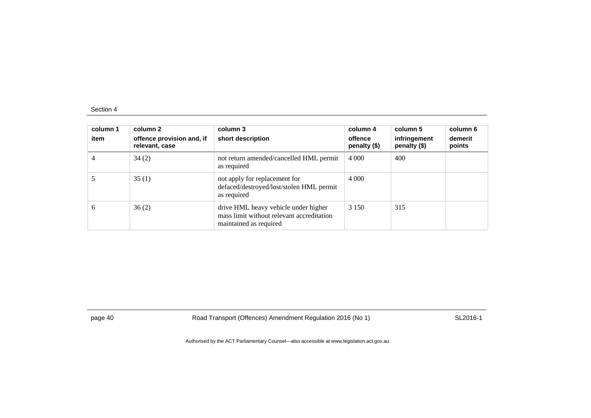| column 1<br>item | column 2<br>offence provision and, if<br>relevant, case | column 3<br>short description                                                                               | column 4<br>offence<br>penalty $(\$)$ | column 5<br>infringement<br>penalty (\$) | column 6<br>demerit<br>points |
|------------------|---------------------------------------------------------|-------------------------------------------------------------------------------------------------------------|---------------------------------------|------------------------------------------|-------------------------------|
| 4                | 34(2)                                                   | not return amended/cancelled HML permit<br>as required                                                      | 4 0 0 0                               | 400                                      |                               |
|                  | 35(1)                                                   | not apply for replacement for<br>defaced/destroyed/lost/stolen HML permit<br>as required                    | 4 0 0 0                               |                                          |                               |
| 6                | 36(2)                                                   | drive HML heavy vehicle under higher<br>mass limit without relevant accreditation<br>maintained as required | 3 1 5 0                               | 315                                      |                               |

page 40 Road Transport (Offences) Amendment Regulation 2016 (No 1) SL2016-1